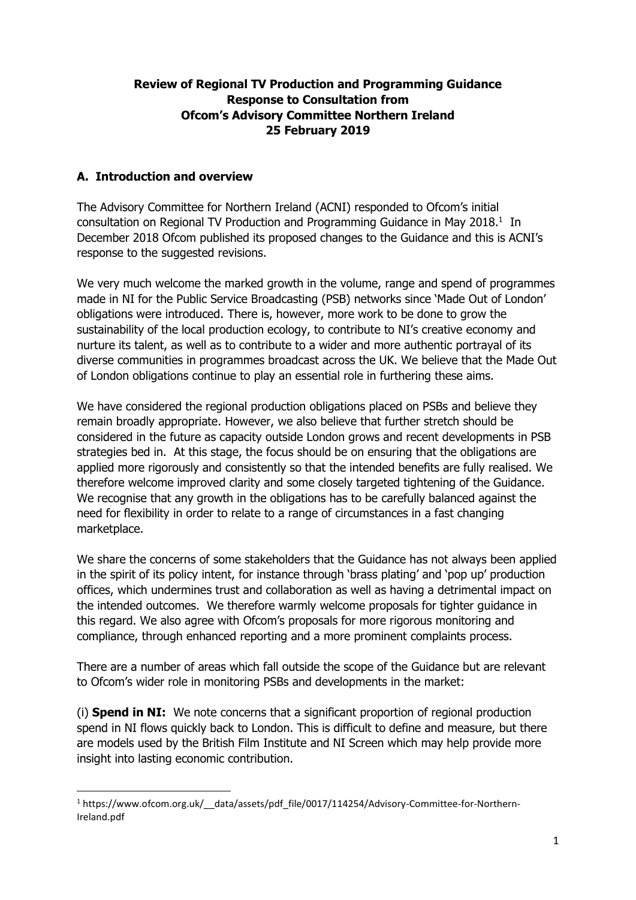### **Review of Regional TV Production and Programming Guidance Response to Consultation from Ofcom's Advisory Committee Northern Ireland 25 February 2019**

# **A. Introduction and overview**

1

The Advisory Committee for Northern Ireland (ACNI) responded to Ofcom's initial consultation on Regional TV Production and Programming Guidance in May 2018. $<sup>1</sup>$  In</sup> December 2018 Ofcom published its proposed changes to the Guidance and this is ACNI's response to the suggested revisions.

We very much welcome the marked growth in the volume, range and spend of programmes made in NI for the Public Service Broadcasting (PSB) networks since 'Made Out of London' obligations were introduced. There is, however, more work to be done to grow the sustainability of the local production ecology, to contribute to NI's creative economy and nurture its talent, as well as to contribute to a wider and more authentic portrayal of its diverse communities in programmes broadcast across the UK. We believe that the Made Out of London obligations continue to play an essential role in furthering these aims.

We have considered the regional production obligations placed on PSBs and believe they remain broadly appropriate. However, we also believe that further stretch should be considered in the future as capacity outside London grows and recent developments in PSB strategies bed in. At this stage, the focus should be on ensuring that the obligations are applied more rigorously and consistently so that the intended benefits are fully realised. We therefore welcome improved clarity and some closely targeted tightening of the Guidance. We recognise that any growth in the obligations has to be carefully balanced against the need for flexibility in order to relate to a range of circumstances in a fast changing marketplace.

We share the concerns of some stakeholders that the Guidance has not always been applied in the spirit of its policy intent, for instance through 'brass plating' and 'pop up' production offices, which undermines trust and collaboration as well as having a detrimental impact on the intended outcomes. We therefore warmly welcome proposals for tighter guidance in this regard. We also agree with Ofcom's proposals for more rigorous monitoring and compliance, through enhanced reporting and a more prominent complaints process.

There are a number of areas which fall outside the scope of the Guidance but are relevant to Ofcom's wider role in monitoring PSBs and developments in the market:

(i) **Spend in NI:** We note concerns that a significant proportion of regional production spend in NI flows quickly back to London. This is difficult to define and measure, but there are models used by the British Film Institute and NI Screen which may help provide more insight into lasting economic contribution.

<sup>1</sup> https://www.ofcom.org.uk/\_\_data/assets/pdf\_file/0017/114254/Advisory-Committee-for-Northern-Ireland.pdf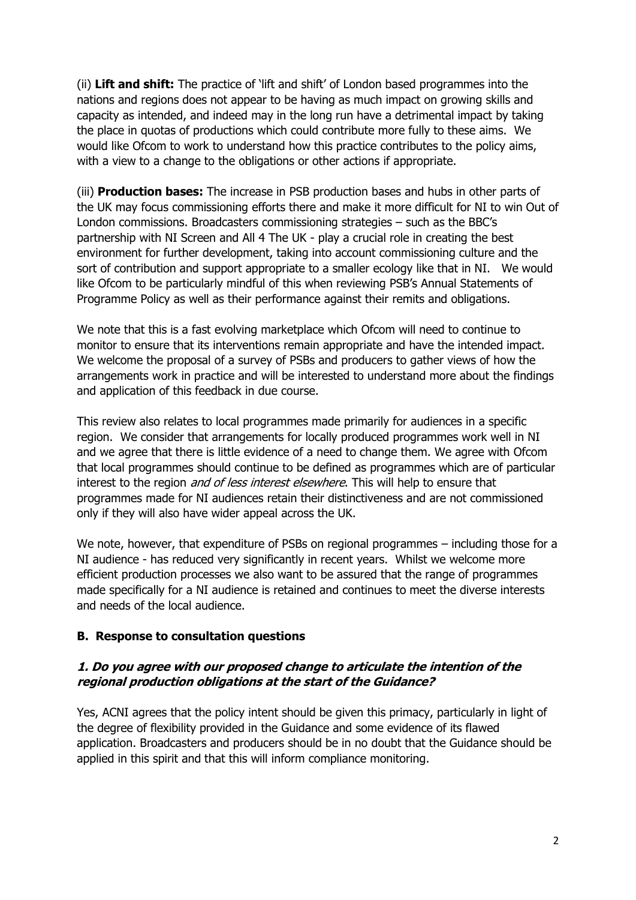(ii) **Lift and shift:** The practice of 'lift and shift' of London based programmes into the nations and regions does not appear to be having as much impact on growing skills and capacity as intended, and indeed may in the long run have a detrimental impact by taking the place in quotas of productions which could contribute more fully to these aims. We would like Ofcom to work to understand how this practice contributes to the policy aims, with a view to a change to the obligations or other actions if appropriate.

(iii) **Production bases:** The increase in PSB production bases and hubs in other parts of the UK may focus commissioning efforts there and make it more difficult for NI to win Out of London commissions. Broadcasters commissioning strategies – such as the BBC's partnership with NI Screen and All 4 The UK - play a crucial role in creating the best environment for further development, taking into account commissioning culture and the sort of contribution and support appropriate to a smaller ecology like that in NI. We would like Ofcom to be particularly mindful of this when reviewing PSB's Annual Statements of Programme Policy as well as their performance against their remits and obligations.

We note that this is a fast evolving marketplace which Ofcom will need to continue to monitor to ensure that its interventions remain appropriate and have the intended impact. We welcome the proposal of a survey of PSBs and producers to gather views of how the arrangements work in practice and will be interested to understand more about the findings and application of this feedback in due course.

This review also relates to local programmes made primarily for audiences in a specific region. We consider that arrangements for locally produced programmes work well in NI and we agree that there is little evidence of a need to change them. We agree with Ofcom that local programmes should continue to be defined as programmes which are of particular interest to the region *and of less interest elsewhere*. This will help to ensure that programmes made for NI audiences retain their distinctiveness and are not commissioned only if they will also have wider appeal across the UK.

We note, however, that expenditure of PSBs on regional programmes – including those for a NI audience - has reduced very significantly in recent years. Whilst we welcome more efficient production processes we also want to be assured that the range of programmes made specifically for a NI audience is retained and continues to meet the diverse interests and needs of the local audience.

#### **B. Response to consultation questions**

#### **1. Do you agree with our proposed change to articulate the intention of the regional production obligations at the start of the Guidance?**

Yes, ACNI agrees that the policy intent should be given this primacy, particularly in light of the degree of flexibility provided in the Guidance and some evidence of its flawed application. Broadcasters and producers should be in no doubt that the Guidance should be applied in this spirit and that this will inform compliance monitoring.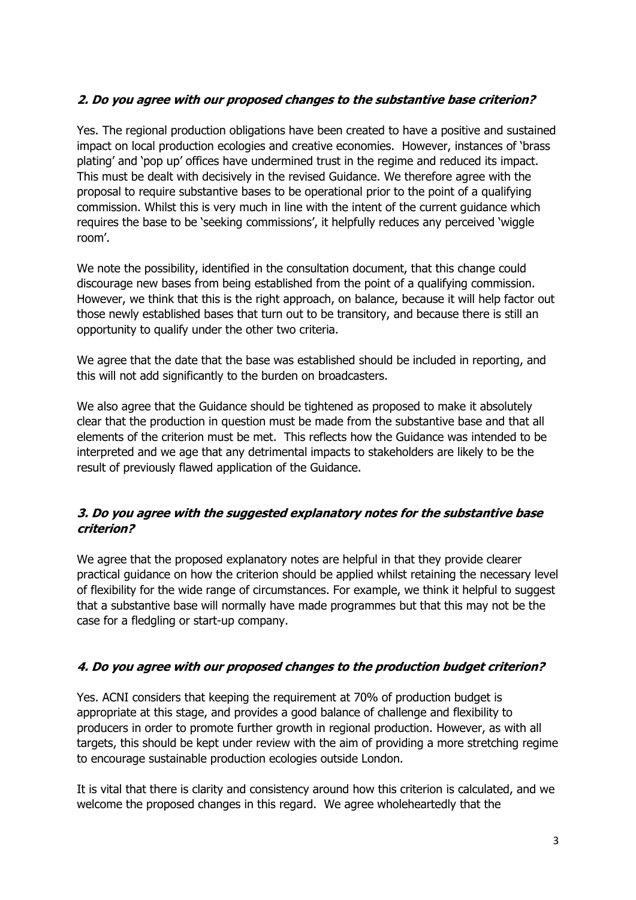# **2. Do you agree with our proposed changes to the substantive base criterion?**

Yes. The regional production obligations have been created to have a positive and sustained impact on local production ecologies and creative economies. However, instances of 'brass plating' and 'pop up' offices have undermined trust in the regime and reduced its impact. This must be dealt with decisively in the revised Guidance. We therefore agree with the proposal to require substantive bases to be operational prior to the point of a qualifying commission. Whilst this is very much in line with the intent of the current guidance which requires the base to be 'seeking commissions', it helpfully reduces any perceived 'wiggle room'.

We note the possibility, identified in the consultation document, that this change could discourage new bases from being established from the point of a qualifying commission. However, we think that this is the right approach, on balance, because it will help factor out those newly established bases that turn out to be transitory, and because there is still an opportunity to qualify under the other two criteria.

We agree that the date that the base was established should be included in reporting, and this will not add significantly to the burden on broadcasters.

We also agree that the Guidance should be tightened as proposed to make it absolutely clear that the production in question must be made from the substantive base and that all elements of the criterion must be met. This reflects how the Guidance was intended to be interpreted and we age that any detrimental impacts to stakeholders are likely to be the result of previously flawed application of the Guidance.

### **3. Do you agree with the suggested explanatory notes for the substantive base criterion?**

We agree that the proposed explanatory notes are helpful in that they provide clearer practical guidance on how the criterion should be applied whilst retaining the necessary level of flexibility for the wide range of circumstances. For example, we think it helpful to suggest that a substantive base will normally have made programmes but that this may not be the case for a fledgling or start-up company.

# **4. Do you agree with our proposed changes to the production budget criterion?**

Yes. ACNI considers that keeping the requirement at 70% of production budget is appropriate at this stage, and provides a good balance of challenge and flexibility to producers in order to promote further growth in regional production. However, as with all targets, this should be kept under review with the aim of providing a more stretching regime to encourage sustainable production ecologies outside London.

It is vital that there is clarity and consistency around how this criterion is calculated, and we welcome the proposed changes in this regard. We agree wholeheartedly that the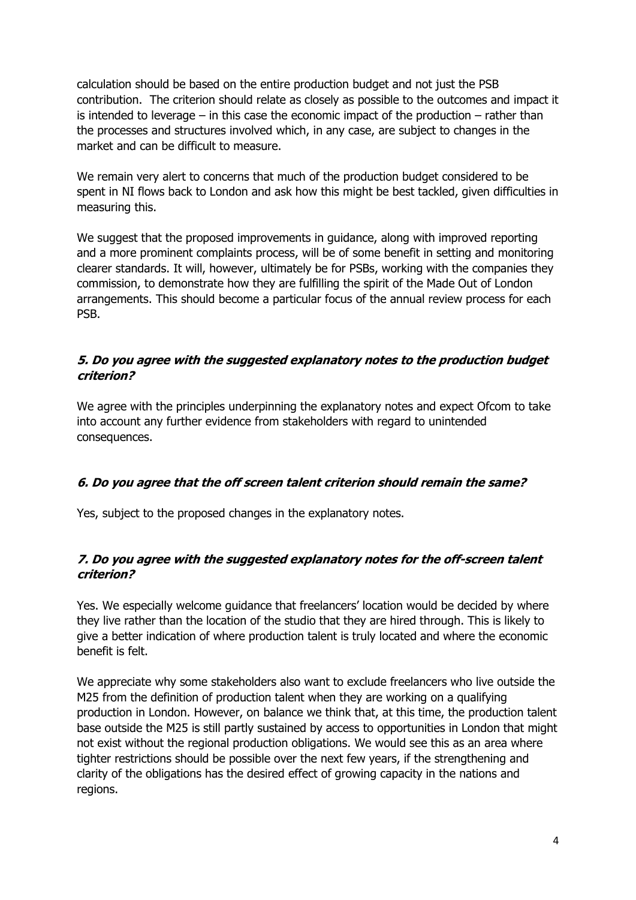calculation should be based on the entire production budget and not just the PSB contribution. The criterion should relate as closely as possible to the outcomes and impact it is intended to leverage  $-$  in this case the economic impact of the production  $-$  rather than the processes and structures involved which, in any case, are subject to changes in the market and can be difficult to measure.

We remain very alert to concerns that much of the production budget considered to be spent in NI flows back to London and ask how this might be best tackled, given difficulties in measuring this.

We suggest that the proposed improvements in guidance, along with improved reporting and a more prominent complaints process, will be of some benefit in setting and monitoring clearer standards. It will, however, ultimately be for PSBs, working with the companies they commission, to demonstrate how they are fulfilling the spirit of the Made Out of London arrangements. This should become a particular focus of the annual review process for each PSB.

### **5. Do you agree with the suggested explanatory notes to the production budget criterion?**

We agree with the principles underpinning the explanatory notes and expect Ofcom to take into account any further evidence from stakeholders with regard to unintended consequences.

# **6. Do you agree that the off screen talent criterion should remain the same?**

Yes, subject to the proposed changes in the explanatory notes.

### **7. Do you agree with the suggested explanatory notes for the off-screen talent criterion?**

Yes. We especially welcome guidance that freelancers' location would be decided by where they live rather than the location of the studio that they are hired through. This is likely to give a better indication of where production talent is truly located and where the economic benefit is felt.

We appreciate why some stakeholders also want to exclude freelancers who live outside the M25 from the definition of production talent when they are working on a qualifying production in London. However, on balance we think that, at this time, the production talent base outside the M25 is still partly sustained by access to opportunities in London that might not exist without the regional production obligations. We would see this as an area where tighter restrictions should be possible over the next few years, if the strengthening and clarity of the obligations has the desired effect of growing capacity in the nations and regions.